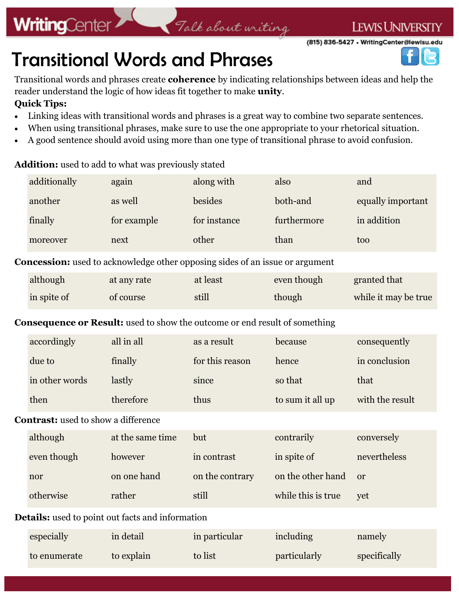### **WritingCenter**

(815) 836-5427 · WritingCenter@lewisu.edu

### Transitional Words and Phrases

Transitional words and phrases create **coherence** by indicating relationships between ideas and help the reader understand the logic of how ideas fit together to make **unity**.

Talk about writing

#### **Quick Tips:**

- Linking ideas with transitional words and phrases is a great way to combine two separate sentences.
- When using transitional phrases, make sure to use the one appropriate to your rhetorical situation.
- A good sentence should avoid using more than one type of transitional phrase to avoid confusion.

#### **Addition:** used to add to what was previously stated

|                                                                                   | additionally   | again                                                                               | along with      | also             | and                  |  |
|-----------------------------------------------------------------------------------|----------------|-------------------------------------------------------------------------------------|-----------------|------------------|----------------------|--|
|                                                                                   | another        | as well                                                                             | besides         | both-and         | equally important    |  |
|                                                                                   | finally        | for example                                                                         | for instance    | furthermore      | in addition          |  |
|                                                                                   | moreover       | next                                                                                | other           | than             | too                  |  |
|                                                                                   |                | <b>Concession:</b> used to acknowledge other opposing sides of an issue or argument |                 |                  |                      |  |
|                                                                                   | although       | at any rate                                                                         | at least        | even though      | granted that         |  |
|                                                                                   | in spite of    | of course                                                                           | still           | though           | while it may be true |  |
| <b>Consequence or Result:</b> used to show the outcome or end result of something |                |                                                                                     |                 |                  |                      |  |
|                                                                                   | accordingly    | all in all                                                                          | as a result     | because          | consequently         |  |
|                                                                                   | due to         | finally                                                                             | for this reason | hence            | in conclusion        |  |
|                                                                                   | in other words | lastly                                                                              | since           | so that          | that                 |  |
|                                                                                   | then           | therefore                                                                           | thus            | to sum it all up | with the result      |  |
| <b>Contrast:</b> used to show a difference                                        |                |                                                                                     |                 |                  |                      |  |
|                                                                                   | although       | at the same time                                                                    | but             | contrarily       | conversely           |  |
|                                                                                   | even though    | however                                                                             | in contrast     | in spite of      | nevertheless         |  |

| nor       | on one hand | on the contrary | on the other hand or |     |
|-----------|-------------|-----------------|----------------------|-----|
| otherwise | rather      | still           | while this is true   | vet |
| .         |             |                 |                      |     |

#### **Details:** used to point out facts and information

| especially   | in detail  | in particular | including           | namely       |
|--------------|------------|---------------|---------------------|--------------|
| to enumerate | to explain | to list       | <i>particularly</i> | specifically |

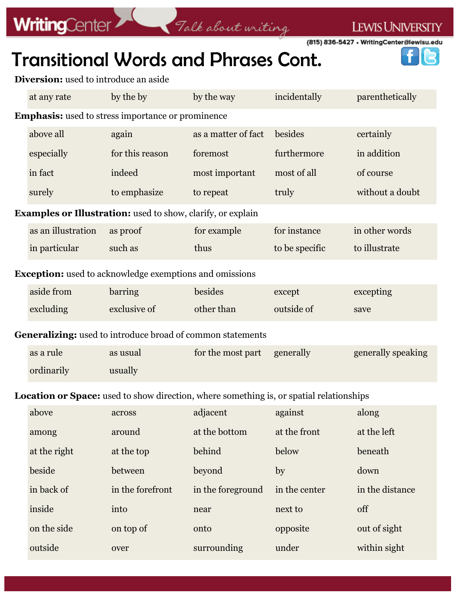# **WritingCenter**

LEWIS UNIVERSITY

B

÷

(815) 836-5427 • WritingCenter@lewisu.edu

### Transitional Words and Phrases Cont.

Talk about writing

**Diversion:** used to introduce an aside

|                                                                                         | at any rate        | by the by        | by the way          | incidentally   | parenthetically    |  |
|-----------------------------------------------------------------------------------------|--------------------|------------------|---------------------|----------------|--------------------|--|
| <b>Emphasis:</b> used to stress importance or prominence                                |                    |                  |                     |                |                    |  |
|                                                                                         | above all          | again            | as a matter of fact | besides        | certainly          |  |
|                                                                                         | especially         | for this reason  | foremost            | furthermore    | in addition        |  |
|                                                                                         | in fact            | indeed           | most important      | most of all    | of course          |  |
|                                                                                         | surely             | to emphasize     | to repeat           | truly          | without a doubt    |  |
| <b>Examples or Illustration:</b> used to show, clarify, or explain                      |                    |                  |                     |                |                    |  |
|                                                                                         | as an illustration | as proof         | for example         | for instance   | in other words     |  |
|                                                                                         | in particular      | such as          | thus                | to be specific | to illustrate      |  |
| <b>Exception:</b> used to acknowledge exemptions and omissions                          |                    |                  |                     |                |                    |  |
|                                                                                         | aside from         | barring          | besides             | except         | excepting          |  |
|                                                                                         | excluding          | exclusive of     | other than          | outside of     | save               |  |
| Generalizing: used to introduce broad of common statements                              |                    |                  |                     |                |                    |  |
|                                                                                         | as a rule          | as usual         | for the most part   | generally      | generally speaking |  |
|                                                                                         | ordinarily         | usually          |                     |                |                    |  |
| Location or Space: used to show direction, where something is, or spatial relationships |                    |                  |                     |                |                    |  |
|                                                                                         | above              | across           | adjacent            | against        | along              |  |
|                                                                                         | among              | around           | at the bottom       | at the front   | at the left        |  |
|                                                                                         | at the right       | at the top       | behind              | below          | beneath            |  |
|                                                                                         | beside             | between          | beyond              | by             | down               |  |
|                                                                                         | in back of         | in the forefront | in the foreground   | in the center  | in the distance    |  |
|                                                                                         | inside             | into             | near                | next to        | off                |  |
|                                                                                         | on the side        | on top of        | onto                | opposite       | out of sight       |  |
|                                                                                         | outside            | over             | surrounding         | under          | within sight       |  |
|                                                                                         |                    |                  |                     |                |                    |  |